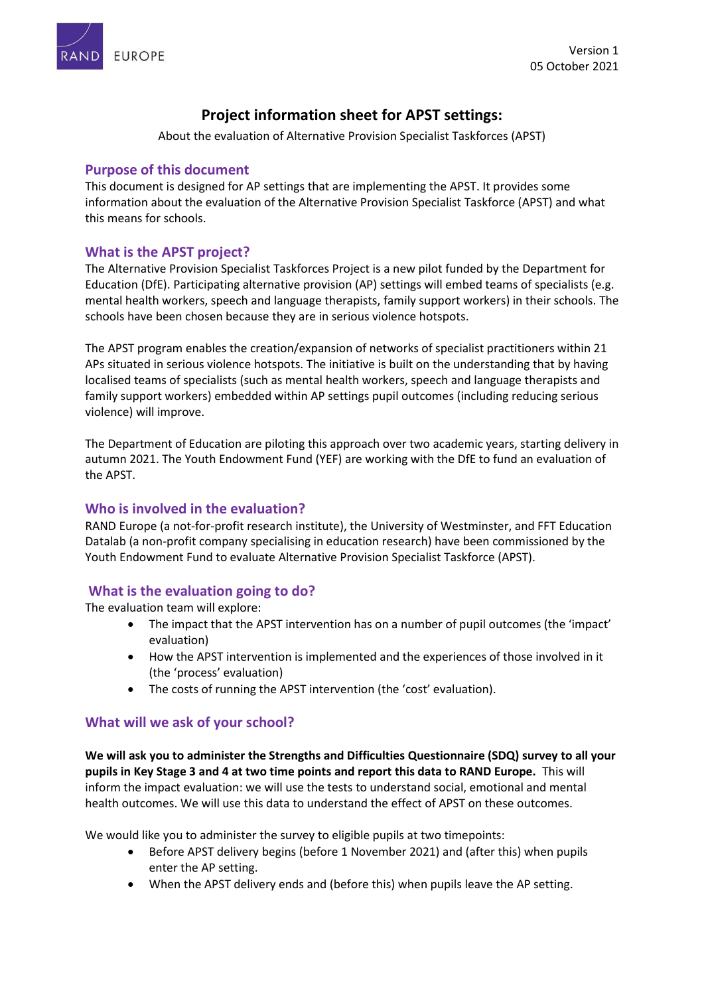



# **Project information sheet for APST settings:**

About the evaluation of Alternative Provision Specialist Taskforces (APST)

### **Purpose of this document**

This document is designed for AP settings that are implementing the APST. It provides some information about the evaluation of the Alternative Provision Specialist Taskforce (APST) and what this means for schools.

### **What is the APST project?**

The Alternative Provision Specialist Taskforces Project is a new pilot funded by the Department for Education (DfE). Participating alternative provision (AP) settings will embed teams of specialists (e.g. mental health workers, speech and language therapists, family support workers) in their schools. The schools have been chosen because they are in serious violence hotspots.

The APST program enables the creation/expansion of networks of specialist practitioners within 21 APs situated in serious violence hotspots. The initiative is built on the understanding that by having localised teams of specialists (such as mental health workers, speech and language therapists and family support workers) embedded within AP settings pupil outcomes (including reducing serious violence) will improve.

The Department of Education are piloting this approach over two academic years, starting delivery in autumn 2021. The Youth Endowment Fund (YEF) are working with the DfE to fund an evaluation of the APST.

### **Who is involved in the evaluation?**

RAND Europe (a not-for-profit research institute), the University of Westminster, and FFT Education Datalab (a non-profit company specialising in education research) have been commissioned by the Youth Endowment Fund to evaluate Alternative Provision Specialist Taskforce (APST).

### **What is the evaluation going to do?**

The evaluation team will explore:

- The impact that the APST intervention has on a number of pupil outcomes (the 'impact' evaluation)
- How the APST intervention is implemented and the experiences of those involved in it (the 'process' evaluation)
- The costs of running the APST intervention (the 'cost' evaluation).

#### **What will we ask of your school?**

**We will ask you to administer the Strengths and Difficulties Questionnaire (SDQ) survey to all your pupils in Key Stage 3 and 4 at two time points and report this data to RAND Europe.** This will inform the impact evaluation: we will use the tests to understand social, emotional and mental health outcomes. We will use this data to understand the effect of APST on these outcomes.

We would like you to administer the survey to eligible pupils at two timepoints:

- Before APST delivery begins (before 1 November 2021) and (after this) when pupils enter the AP setting.
- When the APST delivery ends and (before this) when pupils leave the AP setting.